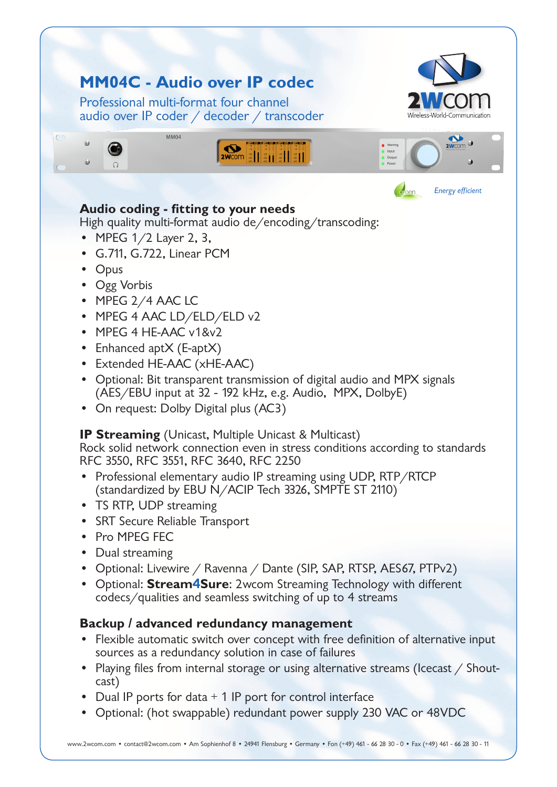

## **Audio coding - fitting to your needs**

High quality multi-format audio de/encoding/transcoding:

- MPEG  $1/2$  Layer 2, 3,
- • G.711, G.722, Linear PCM
- Opus
- Ogg Vorbis
- MPEG 2/4 AAC LC
- MPEG 4 AAC LD/ELD/ELD v2
- MPEG 4 HE-AAC v1&v2
- Enhanced aptX (E-aptX)
- Extended HE-AAC (xHE-AAC)
- Optional: Bit transparent transmission of digital audio and MPX signals (AES/EBU input at 32 - 192 kHz, e.g. Audio, MPX, DolbyE)
- On request: Dolby Digital plus (AC3)

### **IP Streaming** (Unicast, Multiple Unicast & Multicast)

Rock solid network connection even in stress conditions according to standards RFC 3550, RFC 3551, RFC 3640, RFC 2250

- Professional elementary audio IP streaming using UDP, RTP/RTCP (standardized by EBU N/ACIP Tech 3326, SMPTE ST 2110)
- TS RTP, UDP streaming
- • SRT Secure Reliable Transport
- • Pro MPEG FEC
- Dual streaming
- Optional: Livewire / Ravenna / Dante (SIP, SAP, RTSP, AES67, PTPv2)
- • Optional: **Stream**4**Sure**: 2wcom Streaming Technology with different codecs/qualities and seamless switching of up to 4 streams

## **Backup / advanced redundancy management**

- Flexible automatic switch over concept with free definition of alternative input sources as a redundancy solution in case of failures
- Playing files from internal storage or using alternative streams (Icecast / Shoutcast)
- Dual IP ports for data  $+1$  IP port for control interface
- Optional: (hot swappable) redundant power supply 230 VAC or 48VDC

www.2wcom.com • contact@2wcom.com • Am Sophienhof 8 • 24941 Flensburg • Germany • Fon (+49) 461 - 66 28 30 - 0 • Fax (+49) 461 - 66 28 30 - 11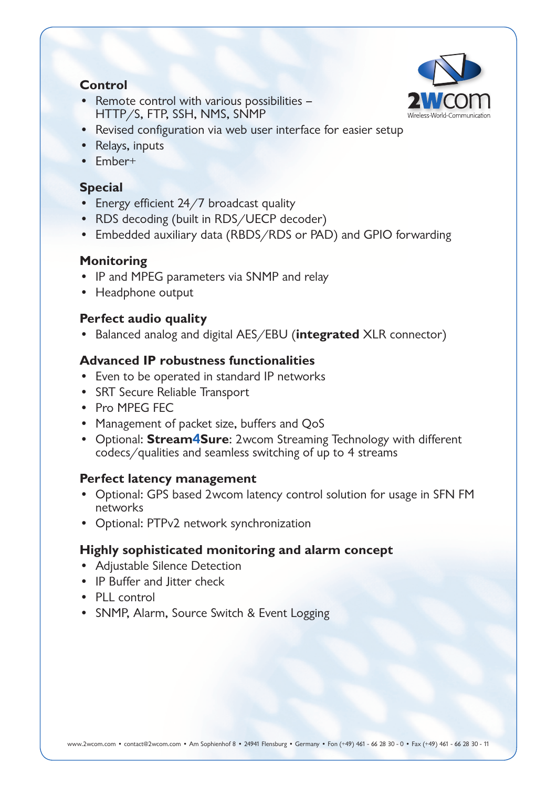### **Control**



- Remote control with various possibilities HTTP/S, FTP, SSH, NMS, SNMP
- Revised configuration via web user interface for easier setup
- Relays, inputs
- • Ember+

## **Special**

- Energy efficient 24/7 broadcast quality
- RDS decoding (built in RDS/UECP decoder)
- Embedded auxiliary data (RBDS/RDS or PAD) and GPIO forwarding

## **Monitoring**

- IP and MPEG parameters via SNMP and relay
- Headphone output

## **Perfect audio quality**

Balanced analog and digital AES/EBU (**integrated** XLR connector)

## **Advanced IP robustness functionalities**

- Even to be operated in standard IP networks
- • SRT Secure Reliable Transport
- • Pro MPEG FEC
- Management of packet size, buffers and QoS
- • Optional: **Stream**4**Sure**: 2wcom Streaming Technology with different codecs/qualities and seamless switching of up to 4 streams

## **Perfect latency management**

- Optional: GPS based 2wcom latency control solution for usage in SFN FM networks
- • Optional: PTPv2 network synchronization

## **Highly sophisticated monitoring and alarm concept**

- Adjustable Silence Detection
- IP Buffer and litter check
- PLL control
- SNMP, Alarm, Source Switch & Event Logging